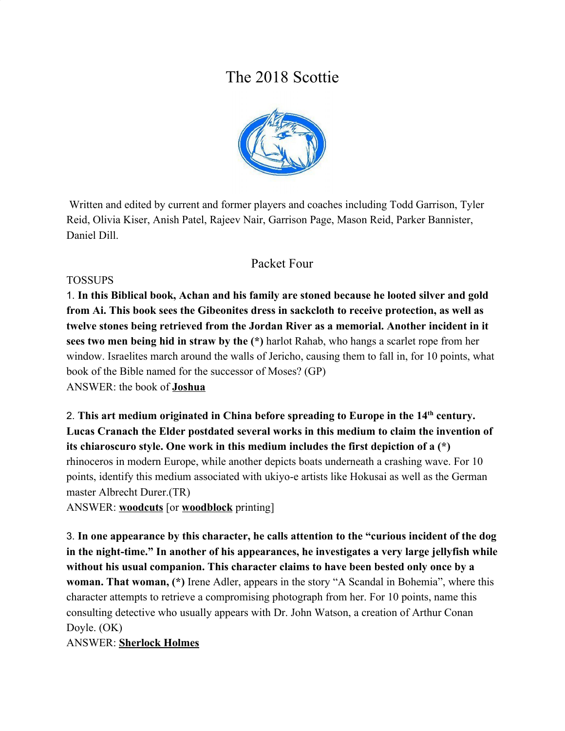# The 2018 Scottie



 Written and edited by current and former players and coaches including Todd Garrison, Tyler Reid, Olivia Kiser, Anish Patel, Rajeev Nair, Garrison Page, Mason Reid, Parker Bannister, Daniel Dill.

# Packet Four

#### **TOSSUPS**

1. **In this Biblical book, Achan and his family are stoned because he looted silver and gold from Ai. This book sees the Gibeonites dress in sackcloth to receive protection, as well as twelve stones being retrieved from the Jordan River as a memorial. Another incident in it sees two men being hid in straw by the (\*)** harlot Rahab, who hangs a scarlet rope from her window. Israelites march around the walls of Jericho, causing them to fall in, for 10 points, what book of the Bible named for the successor of Moses? (GP) ANSWER: the book of **Joshua**

2. **This art medium originated in China before spreading to Europe in the 14th century. Lucas Cranach the Elder postdated several works in this medium to claim the invention of its chiaroscuro style. One work in this medium includes the first depiction of a (\*)** rhinoceros in modern Europe, while another depicts boats underneath a crashing wave. For 10 points, identify this medium associated with ukiyo-e artists like Hokusai as well as the German master Albrecht Durer.(TR)

ANSWER: **woodcuts** [or **woodblock** printing]

3. **In one appearance by this character, he calls attention to the "curious incident of the dog in the night-time." In another of his appearances, he investigates a very large jellyfish while without his usual companion. This character claims to have been bested only once by a woman. That woman, (\*)** Irene Adler, appears in the story "A Scandal in Bohemia", where this character attempts to retrieve a compromising photograph from her. For 10 points, name this consulting detective who usually appears with Dr. John Watson, a creation of Arthur Conan Doyle. (OK)

ANSWER: **Sherlock Holmes**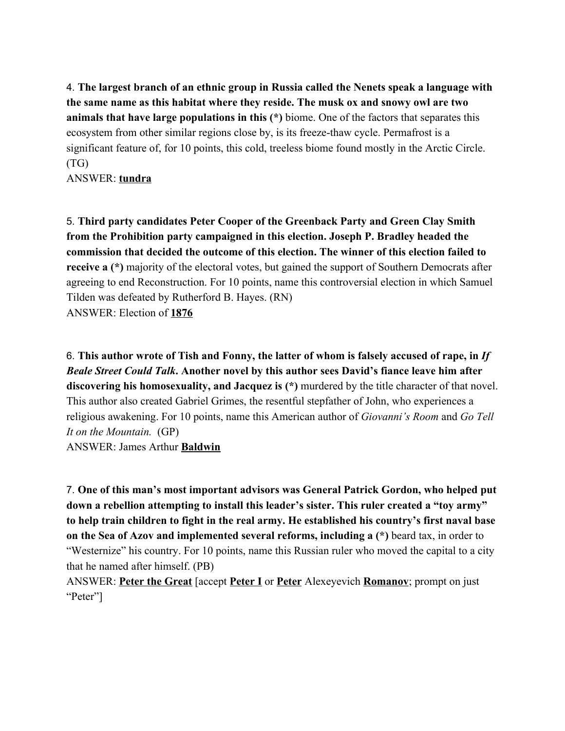4. **The largest branch of an ethnic group in Russia called the Nenets speak a language with the same name as this habitat where they reside. The musk ox and snowy owl are two animals that have large populations in this (\*)** biome. One of the factors that separates this ecosystem from other similar regions close by, is its freeze-thaw cycle. Permafrost is a significant feature of, for 10 points, this cold, treeless biome found mostly in the Arctic Circle. (TG)

ANSWER: **tundra**

5. **Third party candidates Peter Cooper of the Greenback Party and Green Clay Smith from the Prohibition party campaigned in this election. Joseph P. Bradley headed the commission that decided the outcome of this election. The winner of this election failed to receive a (\*)** majority of the electoral votes, but gained the support of Southern Democrats after agreeing to end Reconstruction. For 10 points, name this controversial election in which Samuel Tilden was defeated by Rutherford B. Hayes. (RN) ANSWER: Election of **1876**

6. **This author wrote of Tish and Fonny, the latter of whom is falsely accused of rape, in** *If Beale Street Could Talk***. Another novel by this author sees David's fiance leave him after discovering his homosexuality, and Jacquez is (\*)** murdered by the title character of that novel. This author also created Gabriel Grimes, the resentful stepfather of John, who experiences a religious awakening. For 10 points, name this American author of *Giovanni's Room* and *Go Tell It on the Mountain.* (GP)

ANSWER: James Arthur **Baldwin**

7. **One of this man's most important advisors was General Patrick Gordon, who helped put down a rebellion attempting to install this leader's sister. This ruler created a "toy army" to help train children to fight in the real army. He established his country's first naval base on the Sea of Azov and implemented several reforms, including a (\*)** beard tax, in order to "Westernize" his country. For 10 points, name this Russian ruler who moved the capital to a city that he named after himself. (PB)

ANSWER: **Peter the Great** [accept **Peter I** or **Peter** Alexeyevich **Romanov**; prompt on just "Peter"]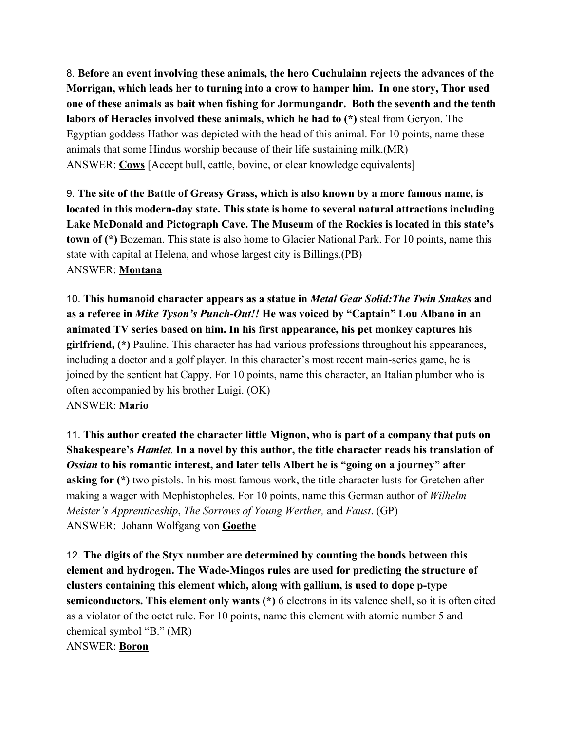8. **Before an event involving these animals, the hero Cuchulainn rejects the advances of the Morrigan, which leads her to turning into a crow to hamper him. In one story, Thor used one of these animals as bait when fishing for Jormungandr. Both the seventh and the tenth labors of Heracles involved these animals, which he had to (\*)** steal from Geryon. The Egyptian goddess Hathor was depicted with the head of this animal. For 10 points, name these animals that some Hindus worship because of their life sustaining milk.(MR) ANSWER: **Cows** [Accept bull, cattle, bovine, or clear knowledge equivalents]

9. **The site of the Battle of Greasy Grass, which is also known by a more famous name, is located in this modern-day state. This state is home to several natural attractions including Lake McDonald and Pictograph Cave. The Museum of the Rockies is located in this state's town of (\*)** Bozeman. This state is also home to Glacier National Park. For 10 points, name this state with capital at Helena, and whose largest city is Billings.(PB) ANSWER: **Montana**

10. **This humanoid character appears as a statue in** *Metal Gear Solid:The Twin Snakes* **and as a referee in** *Mike Tyson's Punch-Out!!* **He was voiced by "Captain" Lou Albano in an animated TV series based on him. In his first appearance, his pet monkey captures his girlfriend, (\*)** Pauline. This character has had various professions throughout his appearances, including a doctor and a golf player. In this character's most recent main-series game, he is joined by the sentient hat Cappy. For 10 points, name this character, an Italian plumber who is often accompanied by his brother Luigi. (OK) ANSWER: **Mario**

11. **This author created the character little Mignon, who is part of a company that puts on Shakespeare's** *Hamlet.* **In a novel by this author, the title character reads his translation of** *Ossian* **to his romantic interest, and later tells Albert he is "going on a journey" after asking for (\*)** two pistols. In his most famous work, the title character lusts for Gretchen after making a wager with Mephistopheles. For 10 points, name this German author of *Wilhelm Meister's Apprenticeship*, *The Sorrows of Young Werther,* and *Faust*. (GP) ANSWER: Johann Wolfgang von **Goethe**

12. **The digits of the Styx number are determined by counting the bonds between this element and hydrogen. The Wade-Mingos rules are used for predicting the structure of clusters containing this element which, along with gallium, is used to dope p-type semiconductors. This element only wants (\*)** 6 electrons in its valence shell, so it is often cited as a violator of the octet rule. For 10 points, name this element with atomic number 5 and chemical symbol "B." (MR) ANSWER: **Boron**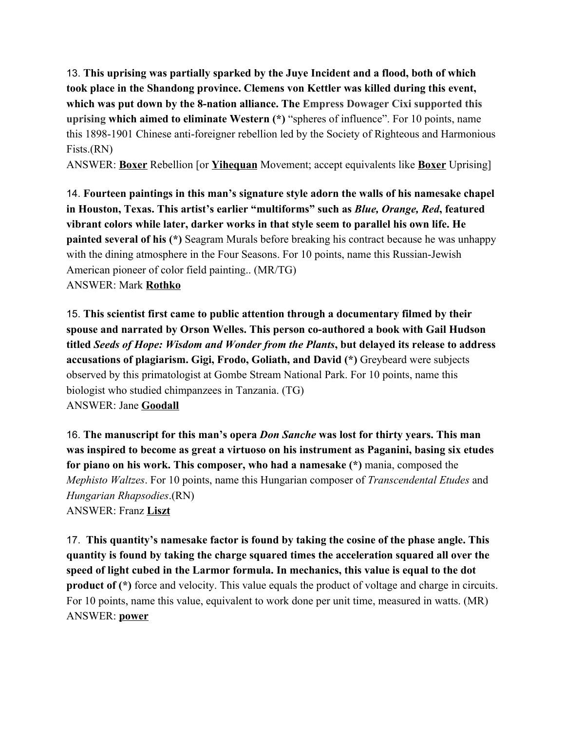13. **This uprising was partially sparked by the Juye Incident and a flood, both of which took place in the Shandong province. Clemens von Kettler was killed during this event, which was put down by the 8-nation alliance. The Empress Dowager Cixi supported this uprising which aimed to eliminate Western (\*)** "spheres of influence". For 10 points, name this 1898-1901 Chinese anti-foreigner rebellion led by the Society of Righteous and Harmonious Fists.(RN)

ANSWER: **Boxer** Rebellion [or **Yihequan** Movement; accept equivalents like **Boxer** Uprising]

14. **Fourteen paintings in this man's signature style adorn the walls of his namesake chapel in Houston, Texas. This artist's earlier "multiforms" such as** *Blue, Orange, Red***, featured vibrant colors while later, darker works in that style seem to parallel his own life. He painted several of his (\*)** Seagram Murals before breaking his contract because he was unhappy with the dining atmosphere in the Four Seasons. For 10 points, name this Russian-Jewish American pioneer of color field painting.. (MR/TG) ANSWER: Mark **Rothko**

15. **This scientist first came to public attention through a documentary filmed by their spouse and narrated by Orson Welles. This person co-authored a book with Gail Hudson titled** *Seeds of Hope: Wisdom and Wonder from the Plants***, but delayed its release to address accusations of plagiarism. Gigi, Frodo, Goliath, and David (\*)** Greybeard were subjects observed by this primatologist at Gombe Stream National Park. For 10 points, name this biologist who studied chimpanzees in Tanzania. (TG) ANSWER: Jane **Goodall**

16. **The manuscript for this man's opera** *Don Sanche* **was lost for thirty years. This man was inspired to become as great a virtuoso on his instrument as Paganini, basing six etudes for piano on his work. This composer, who had a namesake (\*)** mania, composed the *Mephisto Waltzes*. For 10 points, name this Hungarian composer of *Transcendental Etudes* and *Hungarian Rhapsodies*.(RN) ANSWER: Franz **Liszt**

17. **This quantity's namesake factor is found by taking the cosine of the phase angle. This quantity is found by taking the charge squared times the acceleration squared all over the speed of light cubed in the Larmor formula. In mechanics, this value is equal to the dot product of (\*)** force and velocity. This value equals the product of voltage and charge in circuits. For 10 points, name this value, equivalent to work done per unit time, measured in watts. (MR) ANSWER: **power**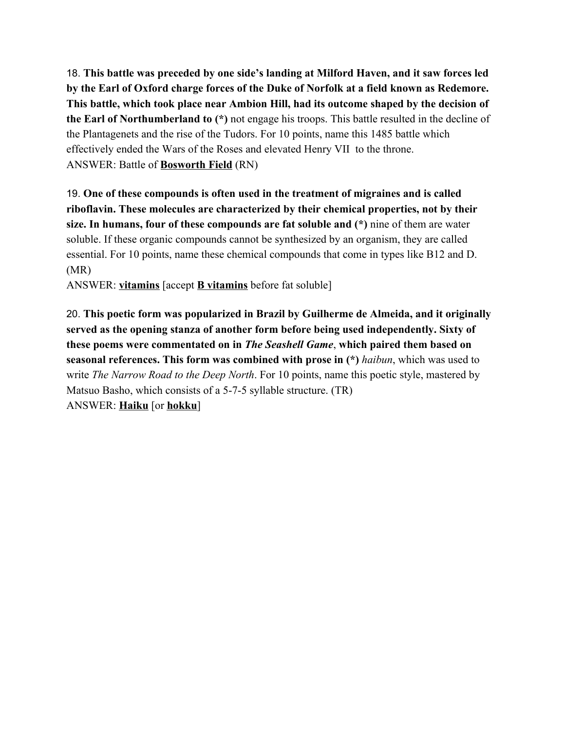18. **This battle was preceded by one side's landing at Milford Haven, and it saw forces led by the Earl of Oxford charge forces of the Duke of Norfolk at a field known as Redemore. This battle, which took place near Ambion Hill, had its outcome shaped by the decision of the Earl of Northumberland to (\*)** not engage his troops. This battle resulted in the decline of the Plantagenets and the rise of the Tudors. For 10 points, name this 1485 battle which effectively ended the Wars of the Roses and elevated Henry VII to the throne. ANSWER: Battle of **Bosworth Field** (RN)

19. **One of these compounds is often used in the treatment of migraines and is called riboflavin. These molecules are characterized by their chemical properties, not by their size. In humans, four of these compounds are fat soluble and (\*)** nine of them are water soluble. If these organic compounds cannot be synthesized by an organism, they are called essential. For 10 points, name these chemical compounds that come in types like B12 and D. (MR)

ANSWER: **vitamins** [accept **B vitamins** before fat soluble]

20. **This poetic form was popularized in Brazil by Guilherme de Almeida, and it originally served as the opening stanza of another form before being used independently. Sixty of these poems were commentated on in** *The Seashell Game*, **which paired them based on seasonal references. This form was combined with prose in (\*)** *haibun*, which was used to write *The Narrow Road to the Deep North*. For 10 points, name this poetic style, mastered by Matsuo Basho, which consists of a 5-7-5 syllable structure. (TR) ANSWER: **Haiku** [or **hokku**]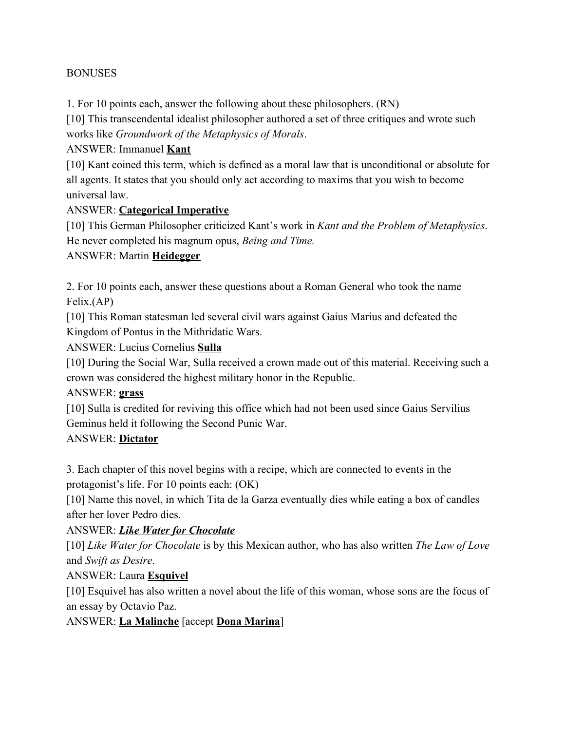#### BONUSES

1. For 10 points each, answer the following about these philosophers. (RN)

[10] This transcendental idealist philosopher authored a set of three critiques and wrote such works like *Groundwork of the Metaphysics of Morals*.

#### ANSWER: Immanuel **Kant**

[10] Kant coined this term, which is defined as a moral law that is unconditional or absolute for all agents. It states that you should only act according to maxims that you wish to become universal law.

#### ANSWER: **Categorical Imperative**

[10] This German Philosopher criticized Kant's work in *Kant and the Problem of Metaphysics*. He never completed his magnum opus, *Being and Time.*

#### ANSWER: Martin **Heidegger**

2. For 10 points each, answer these questions about a Roman General who took the name Felix.(AP)

[10] This Roman statesman led several civil wars against Gaius Marius and defeated the Kingdom of Pontus in the Mithridatic Wars.

ANSWER: Lucius Cornelius **Sulla**

[10] During the Social War, Sulla received a crown made out of this material. Receiving such a crown was considered the highest military honor in the Republic.

#### ANSWER: **grass**

[10] Sulla is credited for reviving this office which had not been used since Gaius Servilius Geminus held it following the Second Punic War.

#### ANSWER: **Dictator**

3. Each chapter of this novel begins with a recipe, which are connected to events in the protagonist's life. For 10 points each: (OK)

[10] Name this novel, in which Tita de la Garza eventually dies while eating a box of candles after her lover Pedro dies.

## ANSWER: *Like Water for Chocolate*

[10] *Like Water for Chocolate* is by this Mexican author, who has also written *The Law of Love* and *Swift as Desire*.

## ANSWER: Laura **Esquivel**

[10] Esquivel has also written a novel about the life of this woman, whose sons are the focus of an essay by Octavio Paz.

## ANSWER: **La Malinche** [accept **Dona Marina**]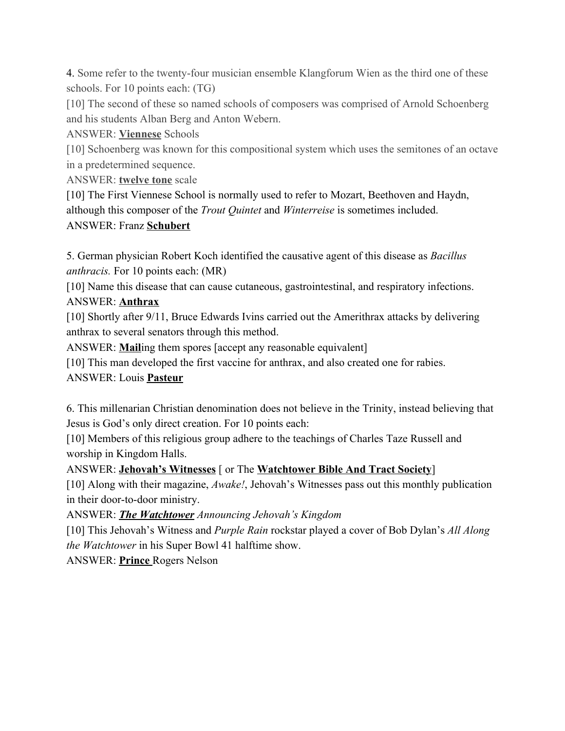4. Some refer to the twenty-four musician ensemble Klangforum Wien as the third one of these schools. For 10 points each: (TG)

[10] The second of these so named schools of composers was comprised of Arnold Schoenberg and his students Alban Berg and Anton Webern.

ANSWER: **Viennese** Schools

[10] Schoenberg was known for this compositional system which uses the semitones of an octave in a predetermined sequence.

ANSWER: **twelve tone** scale

[10] The First Viennese School is normally used to refer to Mozart, Beethoven and Haydn, although this composer of the *Trout Quintet* and *Winterreise* is sometimes included. ANSWER: Franz **Schubert**

5. German physician Robert Koch identified the causative agent of this disease as *Bacillus anthracis.* For 10 points each: (MR)

[10] Name this disease that can cause cutaneous, gastrointestinal, and respiratory infections. ANSWER: **Anthrax**

[10] Shortly after 9/11, Bruce Edwards Ivins carried out the Amerithrax attacks by delivering anthrax to several senators through this method.

ANSWER: **Mail**ing them spores [accept any reasonable equivalent]

[10] This man developed the first vaccine for anthrax, and also created one for rabies.

ANSWER: Louis **Pasteur**

6. This millenarian Christian denomination does not believe in the Trinity, instead believing that Jesus is God's only direct creation. For 10 points each:

[10] Members of this religious group adhere to the teachings of Charles Taze Russell and worship in Kingdom Halls.

ANSWER: **Jehovah's Witnesses** [ or The **Watchtower Bible And Tract Society**]

[10] Along with their magazine, *Awake!*, Jehovah's Witnesses pass out this monthly publication in their door-to-door ministry.

ANSWER: *The Watchtower Announcing Jehovah's Kingdom*

[10] This Jehovah's Witness and *Purple Rain* rockstar played a cover of Bob Dylan's *All Along the Watchtower* in his Super Bowl 41 halftime show.

ANSWER: **Prince** Rogers Nelson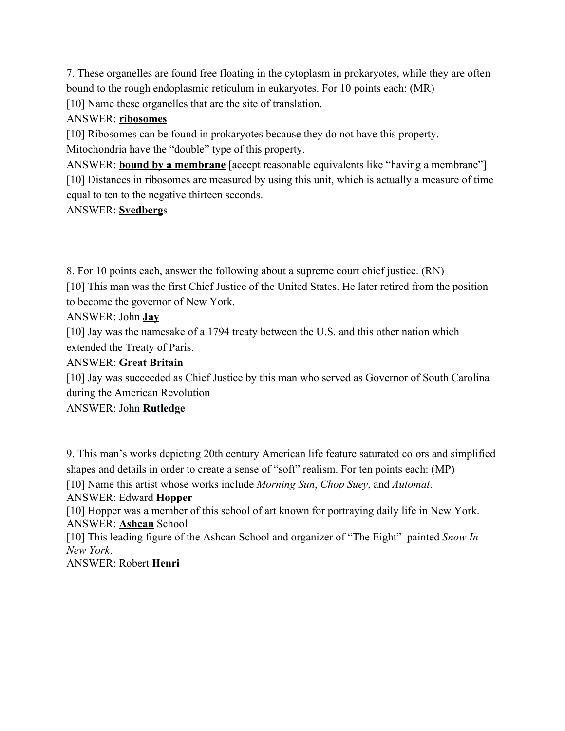7. These organelles are found free floating in the cytoplasm in prokaryotes, while they are often bound to the rough endoplasmic reticulum in eukaryotes. For 10 points each: (MR) [10] Name these organelles that are the site of translation.

#### ANSWER: **ribosomes**

[10] Ribosomes can be found in prokaryotes because they do not have this property.

Mitochondria have the "double" type of this property.

ANSWER: **bound by a membrane** [accept reasonable equivalents like "having a membrane"] [10] Distances in ribosomes are measured by using this unit, which is actually a measure of time equal to ten to the negative thirteen seconds.

#### ANSWER: **Svedberg**s

8. For 10 points each, answer the following about a supreme court chief justice. (RN)

[10] This man was the first Chief Justice of the United States. He later retired from the position to become the governor of New York.

ANSWER: John **Jay**

[10] Jay was the namesake of a 1794 treaty between the U.S. and this other nation which extended the Treaty of Paris.

## ANSWER: **Great Britain**

[10] Jay was succeeded as Chief Justice by this man who served as Governor of South Carolina during the American Revolution

## ANSWER: John **Rutledge**

9. This man's works depicting 20th century American life feature saturated colors and simplified shapes and details in order to create a sense of "soft" realism. For ten points each: (MP)

[10] Name this artist whose works include *Morning Sun*, *Chop Suey*, and *Automat*. ANSWER: Edward **Hopper**

[10] Hopper was a member of this school of art known for portraying daily life in New York. ANSWER: **Ashcan** School

[10] This leading figure of the Ashcan School and organizer of "The Eight" painted *Snow In New York*.

ANSWER: Robert **Henri**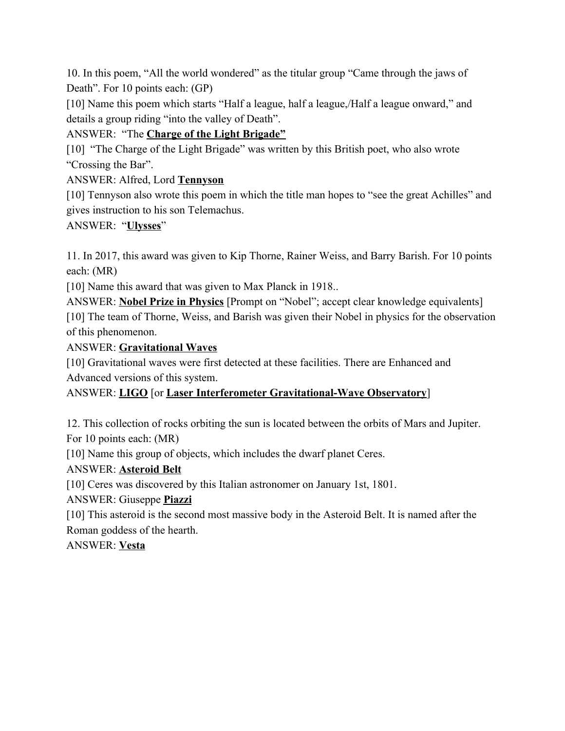10. In this poem, "All the world wondered" as the titular group "Came through the jaws of Death". For 10 points each: (GP)

[10] Name this poem which starts "Half a league, half a league, Half a league onward," and details a group riding "into the valley of Death".

ANSWER: "The **Charge of the Light Brigade"**

[10] "The Charge of the Light Brigade" was written by this British poet, who also wrote "Crossing the Bar".

ANSWER: Alfred, Lord **Tennyson**

[10] Tennyson also wrote this poem in which the title man hopes to "see the great Achilles" and gives instruction to his son Telemachus.

ANSWER: "**Ulysses**"

11. In 2017, this award was given to Kip Thorne, Rainer Weiss, and Barry Barish. For 10 points each: (MR)

[10] Name this award that was given to Max Planck in 1918...

ANSWER: **Nobel Prize in Physics** [Prompt on "Nobel"; accept clear knowledge equivalents] [10] The team of Thorne, Weiss, and Barish was given their Nobel in physics for the observation of this phenomenon.

ANSWER: **Gravitational Waves**

[10] Gravitational waves were first detected at these facilities. There are Enhanced and Advanced versions of this system.

ANSWER: **LIGO** [or **Laser Interferometer Gravitational-Wave Observatory**]

12. This collection of rocks orbiting the sun is located between the orbits of Mars and Jupiter. For 10 points each: (MR)

[10] Name this group of objects, which includes the dwarf planet Ceres.

ANSWER: **Asteroid Belt**

[10] Ceres was discovered by this Italian astronomer on January 1st, 1801.

ANSWER: Giuseppe **Piazzi**

[10] This asteroid is the second most massive body in the Asteroid Belt. It is named after the Roman goddess of the hearth.

ANSWER: **Vesta**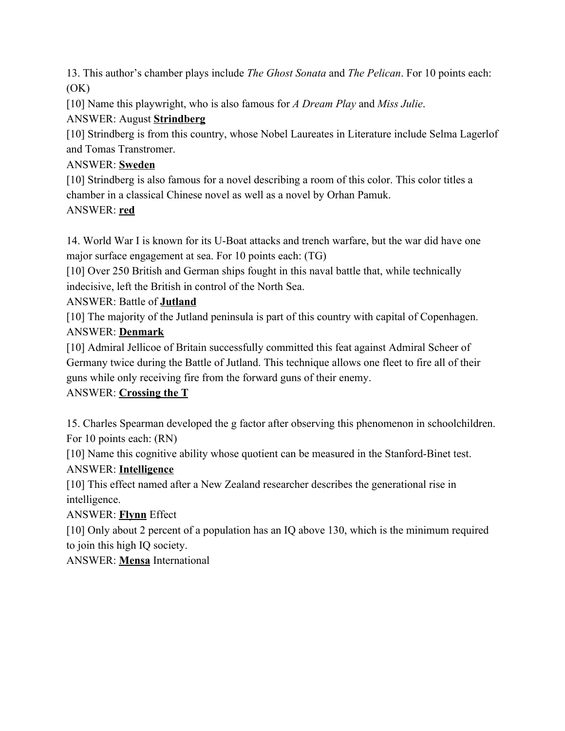13. This author's chamber plays include *The Ghost Sonata* and *The Pelican*. For 10 points each:  $(OK)$ 

[10] Name this playwright, who is also famous for *A Dream Play* and *Miss Julie*.

# ANSWER: August **Strindberg**

[10] Strindberg is from this country, whose Nobel Laureates in Literature include Selma Lagerlof and Tomas Transtromer.

# ANSWER: **Sweden**

[10] Strindberg is also famous for a novel describing a room of this color. This color titles a chamber in a classical Chinese novel as well as a novel by Orhan Pamuk.

## ANSWER: **red**

14. World War I is known for its U-Boat attacks and trench warfare, but the war did have one major surface engagement at sea. For 10 points each: (TG)

[10] Over 250 British and German ships fought in this naval battle that, while technically indecisive, left the British in control of the North Sea.

# ANSWER: Battle of **Jutland**

[10] The majority of the Jutland peninsula is part of this country with capital of Copenhagen. ANSWER: **Denmark**

[10] Admiral Jellicoe of Britain successfully committed this feat against Admiral Scheer of Germany twice during the Battle of Jutland. This technique allows one fleet to fire all of their guns while only receiving fire from the forward guns of their enemy.

# ANSWER: **Crossing the T**

15. Charles Spearman developed the g factor after observing this phenomenon in schoolchildren. For 10 points each: (RN)

[10] Name this cognitive ability whose quotient can be measured in the Stanford-Binet test. ANSWER: **Intelligence**

[10] This effect named after a New Zealand researcher describes the generational rise in intelligence.

## ANSWER: **Flynn** Effect

[10] Only about 2 percent of a population has an IQ above 130, which is the minimum required to join this high IQ society.

ANSWER: **Mensa** International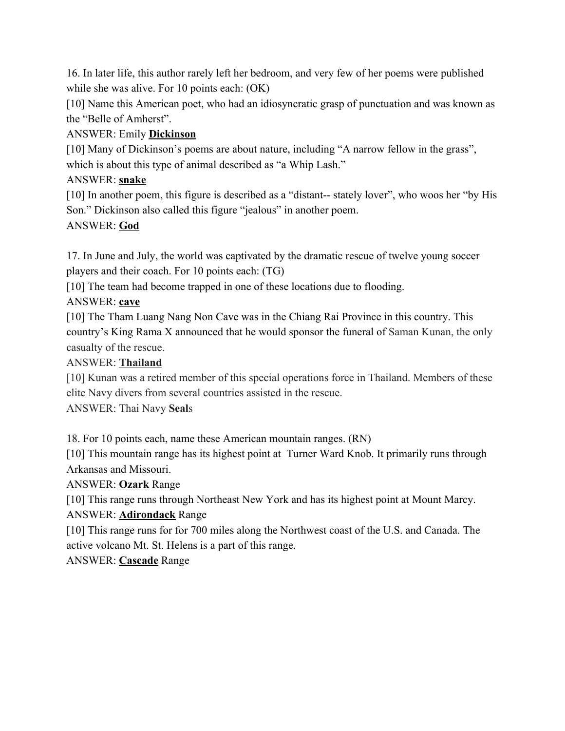16. In later life, this author rarely left her bedroom, and very few of her poems were published while she was alive. For 10 points each: (OK)

[10] Name this American poet, who had an idiosyncratic grasp of punctuation and was known as the "Belle of Amherst".

# ANSWER: Emily **Dickinson**

[10] Many of Dickinson's poems are about nature, including "A narrow fellow in the grass", which is about this type of animal described as "a Whip Lash."

# ANSWER: **snake**

[10] In another poem, this figure is described as a "distant-- stately lover", who woos her "by His Son." Dickinson also called this figure "jealous" in another poem.

# ANSWER: **God**

17. In June and July, the world was captivated by the dramatic rescue of twelve young soccer players and their coach. For 10 points each: (TG)

[10] The team had become trapped in one of these locations due to flooding.

# ANSWER: **cave**

[10] The Tham Luang Nang Non Cave was in the Chiang Rai Province in this country. This country's King Rama X announced that he would sponsor the funeral of Saman Kunan, the only casualty of the rescue.

## ANSWER: **Thailand**

[10] Kunan was a retired member of this special operations force in Thailand. Members of these elite Navy divers from several countries assisted in the rescue.

## ANSWER: Thai Navy **Seal**s

18. For 10 points each, name these American mountain ranges. (RN)

[10] This mountain range has its highest point at Turner Ward Knob. It primarily runs through Arkansas and Missouri.

## ANSWER: **Ozark** Range

[10] This range runs through Northeast New York and has its highest point at Mount Marcy.

## ANSWER: **Adirondack** Range

[10] This range runs for for 700 miles along the Northwest coast of the U.S. and Canada. The active volcano Mt. St. Helens is a part of this range.

## ANSWER: **Cascade** Range